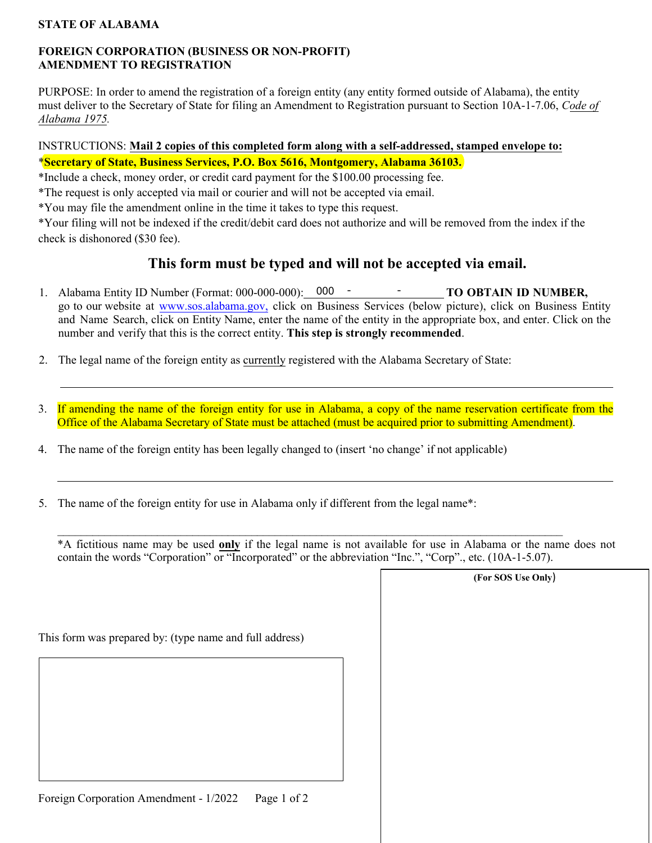### **STATE OF ALABAMA**

### **FOREIGN CORPORATION (BUSINESS OR NON-PROFIT) AMENDMENT TO REGISTRATION**

PURPOSE: In order to amend the registration of a foreign entity (any entity formed outside of Alabama), the entity must deliver to the Secretary of State for filing an Amendment to Registration pursuant to Section 10A-1-7.06, *Code of Alabama 1975.*

# INSTRUCTIONS: **Mail 2 copies of this completed form along with a self-addressed, stamped envelope to:** \***Secretary of State, Business Services, P.O. Box 5616, Montgomery, Alabama 36103.**

\*Include a check, money order, or credit card payment for the \$100.00 processing fee.

\*The request is only accepted via mail or courier and will not be accepted via email.

\*You may file the amendment online in the time it takes to type this request.

\*Your filing will not be indexed if the credit/debit card does not authorize and will be removed from the index if the check is dishonored (\$30 fee).

# **This form must be typed and will not be accepted via email.**

- 1. Alabama Entity ID Number (Format: 000-000-000): 000 TO OBTAIN ID NUMBER, go to our website at [www.sos.alabama.gov](http://www.sos.alabama.gov/), click on Business Services (below picture), click on Business Entity and Name Search, click on Entity Name, enter the name of the entity in the appropriate box, and enter. Click on the number and verify that this is the correct entity. **This step is strongly recommended**.
- 2. The legal name of the foreign entity as currently registered with the Alabama Secretary of State:
- 3. If amending the name of the foreign entity for use in Alabama, a copy of the name reservation certificate from the Office of the Alabama Secretary of State must be attached (must be acquired prior to submitting Amendment).
- 4. The name of the foreign entity has been legally changed to (insert 'no change' if not applicable)
- 5. The name of the foreign entity for use in Alabama only if different from the legal name\*:

\*A fictitious name may be used **only** if the legal name is not available for use in Alabama or the name does not contain the words "Corporation" or "Incorporated" or the abbreviation "Inc.", "Corp"., etc. (10A-1-5.07).

 $\_$ 

|       | (For SOS Use Only) |  |
|-------|--------------------|--|
|       |                    |  |
|       |                    |  |
|       |                    |  |
| s)    |                    |  |
|       |                    |  |
|       |                    |  |
|       |                    |  |
|       |                    |  |
|       |                    |  |
|       |                    |  |
|       |                    |  |
|       |                    |  |
|       |                    |  |
|       |                    |  |
| f $2$ |                    |  |
|       |                    |  |

This form was prepared by: (type name and full address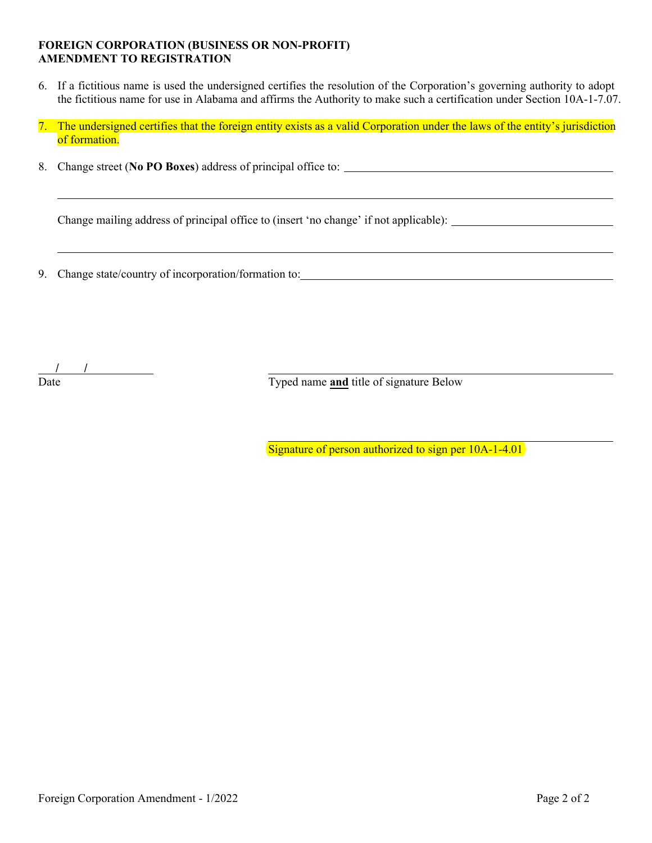#### **FOREIGN CORPORATION (BUSINESS OR NON-PROFIT) AMENDMENT TO REGISTRATION**

- 6. If a fictitious name is used the undersigned certifies the resolution of the Corporation's governing authority to adopt the fictitious name for use in Alabama and affirms the Authority to make such a certification under Section 10A-1-7.07.
- 7. The undersigned certifies that the foreign entity exists as a valid Corporation under the laws of the entity's jurisdiction of formation.
- 8. Change street (**No PO Boxes**) address of principal office to:

Change mailing address of principal office to (insert 'no change' if not applicable):

9. Change state/country of incorporation/formation to:

/ /

Date Typed name **and** title of signature Below

Signature of person authorized to sign per 10A-1-4.01